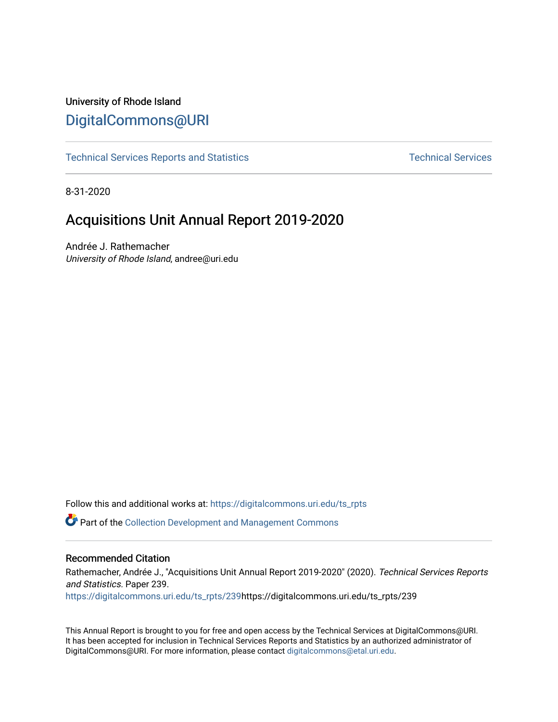# University of Rhode Island [DigitalCommons@URI](https://digitalcommons.uri.edu/)

[Technical Services Reports and Statistics](https://digitalcommons.uri.edu/ts_rpts) [Technical Services](https://digitalcommons.uri.edu/lib_ts) Technical Services

8-31-2020

# Acquisitions Unit Annual Report 2019-2020

Andrée J. Rathemacher University of Rhode Island, andree@uri.edu

Follow this and additional works at: [https://digitalcommons.uri.edu/ts\\_rpts](https://digitalcommons.uri.edu/ts_rpts?utm_source=digitalcommons.uri.edu%2Fts_rpts%2F239&utm_medium=PDF&utm_campaign=PDFCoverPages) 

Part of the [Collection Development and Management Commons](http://network.bepress.com/hgg/discipline/1271?utm_source=digitalcommons.uri.edu%2Fts_rpts%2F239&utm_medium=PDF&utm_campaign=PDFCoverPages) 

## Recommended Citation

Rathemacher, Andrée J., "Acquisitions Unit Annual Report 2019-2020" (2020). Technical Services Reports and Statistics. Paper 239. [https://digitalcommons.uri.edu/ts\\_rpts/239h](https://digitalcommons.uri.edu/ts_rpts/239?utm_source=digitalcommons.uri.edu%2Fts_rpts%2F239&utm_medium=PDF&utm_campaign=PDFCoverPages)ttps://digitalcommons.uri.edu/ts\_rpts/239

This Annual Report is brought to you for free and open access by the Technical Services at DigitalCommons@URI. It has been accepted for inclusion in Technical Services Reports and Statistics by an authorized administrator of DigitalCommons@URI. For more information, please contact [digitalcommons@etal.uri.edu.](mailto:digitalcommons@etal.uri.edu)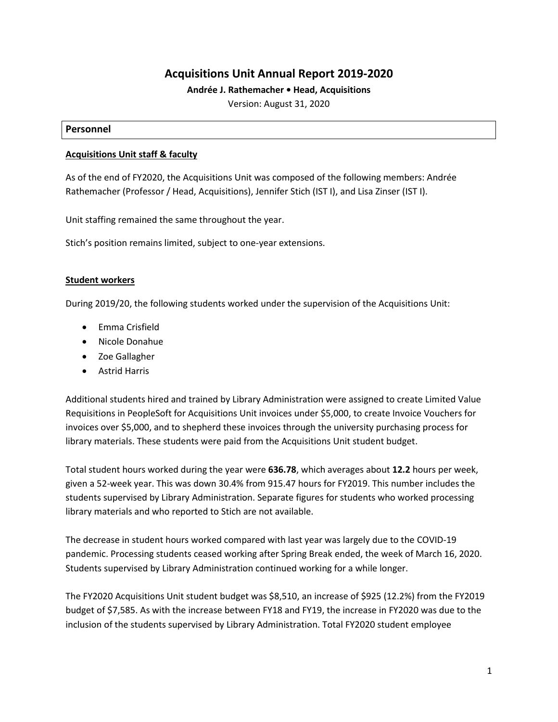# **Acquisitions Unit Annual Report 2019-2020**

## **Andrée J. Rathemacher • Head, Acquisitions**

Version: August 31, 2020

#### **Personnel**

#### **Acquisitions Unit staff & faculty**

As of the end of FY2020, the Acquisitions Unit was composed of the following members: Andrée Rathemacher (Professor / Head, Acquisitions), Jennifer Stich (IST I), and Lisa Zinser (IST I).

Unit staffing remained the same throughout the year.

Stich's position remains limited, subject to one-year extensions.

## **Student workers**

During 2019/20, the following students worked under the supervision of the Acquisitions Unit:

- Emma Crisfield
- Nicole Donahue
- Zoe Gallagher
- Astrid Harris

Additional students hired and trained by Library Administration were assigned to create Limited Value Requisitions in PeopleSoft for Acquisitions Unit invoices under \$5,000, to create Invoice Vouchers for invoices over \$5,000, and to shepherd these invoices through the university purchasing process for library materials. These students were paid from the Acquisitions Unit student budget.

Total student hours worked during the year were **636.78**, which averages about **12.2** hours per week, given a 52-week year. This was down 30.4% from 915.47 hours for FY2019. This number includes the students supervised by Library Administration. Separate figures for students who worked processing library materials and who reported to Stich are not available.

The decrease in student hours worked compared with last year was largely due to the COVID-19 pandemic. Processing students ceased working after Spring Break ended, the week of March 16, 2020. Students supervised by Library Administration continued working for a while longer.

The FY2020 Acquisitions Unit student budget was \$8,510, an increase of \$925 (12.2%) from the FY2019 budget of \$7,585. As with the increase between FY18 and FY19, the increase in FY2020 was due to the inclusion of the students supervised by Library Administration. Total FY2020 student employee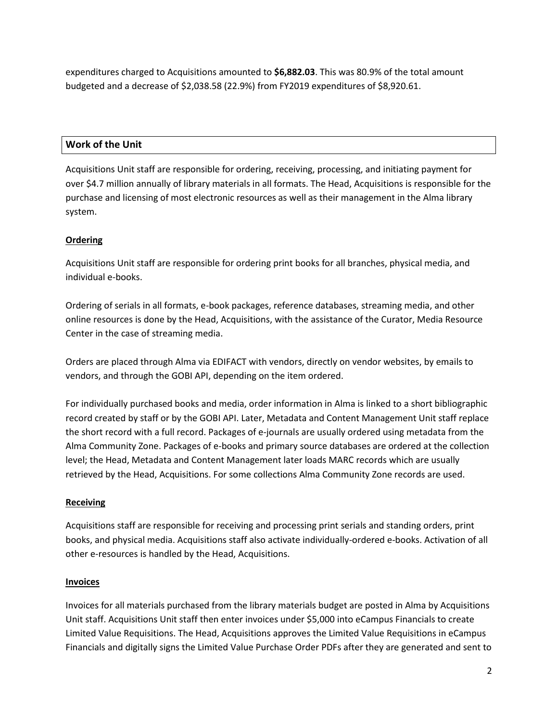expenditures charged to Acquisitions amounted to **\$6,882.03**. This was 80.9% of the total amount budgeted and a decrease of \$2,038.58 (22.9%) from FY2019 expenditures of \$8,920.61.

## **Work of the Unit**

Acquisitions Unit staff are responsible for ordering, receiving, processing, and initiating payment for over \$4.7 million annually of library materials in all formats. The Head, Acquisitions is responsible for the purchase and licensing of most electronic resources as well as their management in the Alma library system.

## **Ordering**

Acquisitions Unit staff are responsible for ordering print books for all branches, physical media, and individual e-books.

Ordering of serials in all formats, e-book packages, reference databases, streaming media, and other online resources is done by the Head, Acquisitions, with the assistance of the Curator, Media Resource Center in the case of streaming media.

Orders are placed through Alma via EDIFACT with vendors, directly on vendor websites, by emails to vendors, and through the GOBI API, depending on the item ordered.

For individually purchased books and media, order information in Alma is linked to a short bibliographic record created by staff or by the GOBI API. Later, Metadata and Content Management Unit staff replace the short record with a full record. Packages of e-journals are usually ordered using metadata from the Alma Community Zone. Packages of e-books and primary source databases are ordered at the collection level; the Head, Metadata and Content Management later loads MARC records which are usually retrieved by the Head, Acquisitions. For some collections Alma Community Zone records are used.

## **Receiving**

Acquisitions staff are responsible for receiving and processing print serials and standing orders, print books, and physical media. Acquisitions staff also activate individually-ordered e-books. Activation of all other e-resources is handled by the Head, Acquisitions.

## **Invoices**

Invoices for all materials purchased from the library materials budget are posted in Alma by Acquisitions Unit staff. Acquisitions Unit staff then enter invoices under \$5,000 into eCampus Financials to create Limited Value Requisitions. The Head, Acquisitions approves the Limited Value Requisitions in eCampus Financials and digitally signs the Limited Value Purchase Order PDFs after they are generated and sent to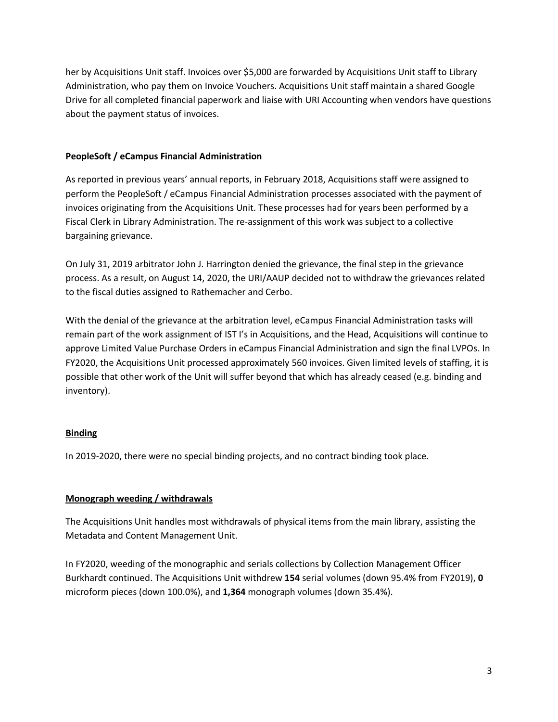her by Acquisitions Unit staff. Invoices over \$5,000 are forwarded by Acquisitions Unit staff to Library Administration, who pay them on Invoice Vouchers. Acquisitions Unit staff maintain a shared Google Drive for all completed financial paperwork and liaise with URI Accounting when vendors have questions about the payment status of invoices.

## **PeopleSoft / eCampus Financial Administration**

As reported in previous years' annual reports, in February 2018, Acquisitions staff were assigned to perform the PeopleSoft / eCampus Financial Administration processes associated with the payment of invoices originating from the Acquisitions Unit. These processes had for years been performed by a Fiscal Clerk in Library Administration. The re-assignment of this work was subject to a collective bargaining grievance.

On July 31, 2019 arbitrator John J. Harrington denied the grievance, the final step in the grievance process. As a result, on August 14, 2020, the URI/AAUP decided not to withdraw the grievances related to the fiscal duties assigned to Rathemacher and Cerbo.

With the denial of the grievance at the arbitration level, eCampus Financial Administration tasks will remain part of the work assignment of IST I's in Acquisitions, and the Head, Acquisitions will continue to approve Limited Value Purchase Orders in eCampus Financial Administration and sign the final LVPOs. In FY2020, the Acquisitions Unit processed approximately 560 invoices. Given limited levels of staffing, it is possible that other work of the Unit will suffer beyond that which has already ceased (e.g. binding and inventory).

## **Binding**

In 2019-2020, there were no special binding projects, and no contract binding took place.

# **Monograph weeding / withdrawals**

The Acquisitions Unit handles most withdrawals of physical items from the main library, assisting the Metadata and Content Management Unit.

In FY2020, weeding of the monographic and serials collections by Collection Management Officer Burkhardt continued. The Acquisitions Unit withdrew **154** serial volumes (down 95.4% from FY2019), **0** microform pieces (down 100.0%), and **1,364** monograph volumes (down 35.4%).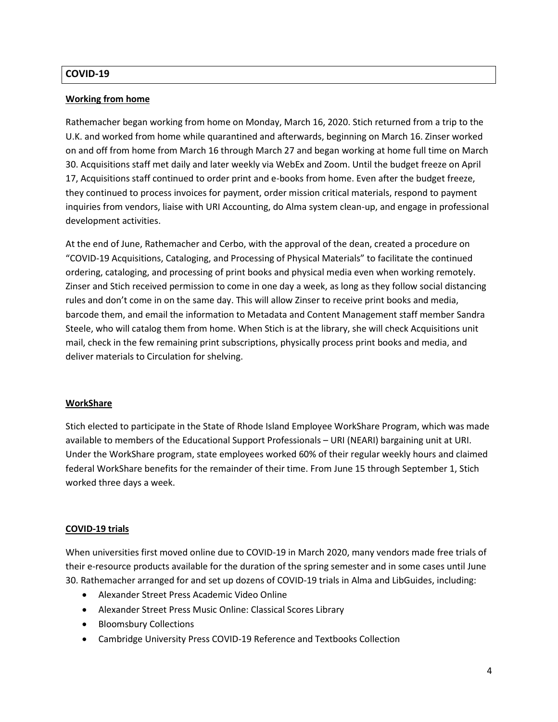## **COVID-19**

#### **Working from home**

Rathemacher began working from home on Monday, March 16, 2020. Stich returned from a trip to the U.K. and worked from home while quarantined and afterwards, beginning on March 16. Zinser worked on and off from home from March 16 through March 27 and began working at home full time on March 30. Acquisitions staff met daily and later weekly via WebEx and Zoom. Until the budget freeze on April 17, Acquisitions staff continued to order print and e-books from home. Even after the budget freeze, they continued to process invoices for payment, order mission critical materials, respond to payment inquiries from vendors, liaise with URI Accounting, do Alma system clean-up, and engage in professional development activities.

At the end of June, Rathemacher and Cerbo, with the approval of the dean, created a procedure on "COVID-19 Acquisitions, Cataloging, and Processing of Physical Materials" to facilitate the continued ordering, cataloging, and processing of print books and physical media even when working remotely. Zinser and Stich received permission to come in one day a week, as long as they follow social distancing rules and don't come in on the same day. This will allow Zinser to receive print books and media, barcode them, and email the information to Metadata and Content Management staff member Sandra Steele, who will catalog them from home. When Stich is at the library, she will check Acquisitions unit mail, check in the few remaining print subscriptions, physically process print books and media, and deliver materials to Circulation for shelving.

#### **WorkShare**

Stich elected to participate in the State of Rhode Island Employee WorkShare Program, which was made available to members of the Educational Support Professionals – URI (NEARI) bargaining unit at URI. Under the WorkShare program, state employees worked 60% of their regular weekly hours and claimed federal WorkShare benefits for the remainder of their time. From June 15 through September 1, Stich worked three days a week.

#### **COVID-19 trials**

When universities first moved online due to COVID-19 in March 2020, many vendors made free trials of their e-resource products available for the duration of the spring semester and in some cases until June 30. Rathemacher arranged for and set up dozens of COVID-19 trials in Alma and LibGuides, including:

- Alexander Street Press Academic Video Online
- Alexander Street Press Music Online: Classical Scores Library
- Bloomsbury Collections
- Cambridge University Press COVID-19 Reference and Textbooks Collection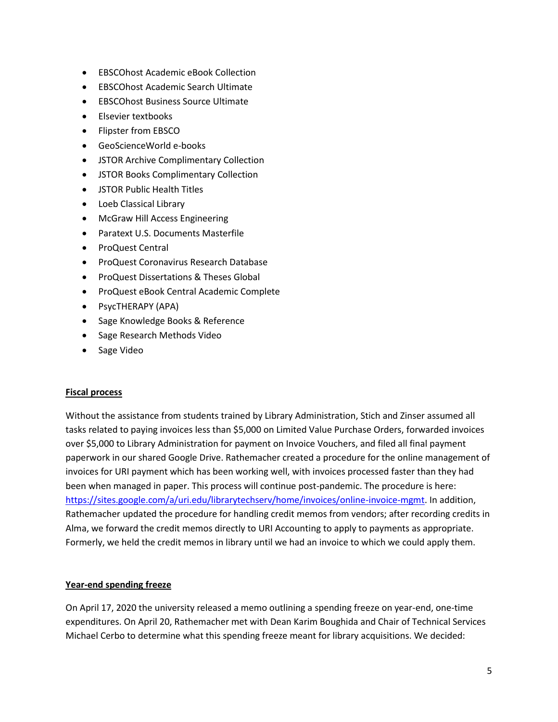- EBSCOhost Academic eBook Collection
- EBSCOhost Academic Search Ultimate
- EBSCOhost Business Source Ultimate
- Elsevier textbooks
- Flipster from EBSCO
- GeoScienceWorld e-books
- JSTOR Archive Complimentary Collection
- JSTOR Books Complimentary Collection
- JSTOR Public Health Titles
- Loeb Classical Library
- McGraw Hill Access Engineering
- Paratext U.S. Documents Masterfile
- ProQuest Central
- ProQuest Coronavirus Research Database
- ProQuest Dissertations & Theses Global
- ProQuest eBook Central Academic Complete
- PsycTHERAPY (APA)
- Sage Knowledge Books & Reference
- Sage Research Methods Video
- Sage Video

## **Fiscal process**

Without the assistance from students trained by Library Administration, Stich and Zinser assumed all tasks related to paying invoices less than \$5,000 on Limited Value Purchase Orders, forwarded invoices over \$5,000 to Library Administration for payment on Invoice Vouchers, and filed all final payment paperwork in our shared Google Drive. Rathemacher created a procedure for the online management of invoices for URI payment which has been working well, with invoices processed faster than they had been when managed in paper. This process will continue post-pandemic. The procedure is here: [https://sites.google.com/a/uri.edu/librarytechserv/home/invoices/online-invoice-mgmt.](https://sites.google.com/a/uri.edu/librarytechserv/home/invoices/online-invoice-mgmt) In addition, Rathemacher updated the procedure for handling credit memos from vendors; after recording credits in Alma, we forward the credit memos directly to URI Accounting to apply to payments as appropriate. Formerly, we held the credit memos in library until we had an invoice to which we could apply them.

## **Year-end spending freeze**

On April 17, 2020 the university released a memo outlining a spending freeze on year-end, one-time expenditures. On April 20, Rathemacher met with Dean Karim Boughida and Chair of Technical Services Michael Cerbo to determine what this spending freeze meant for library acquisitions. We decided: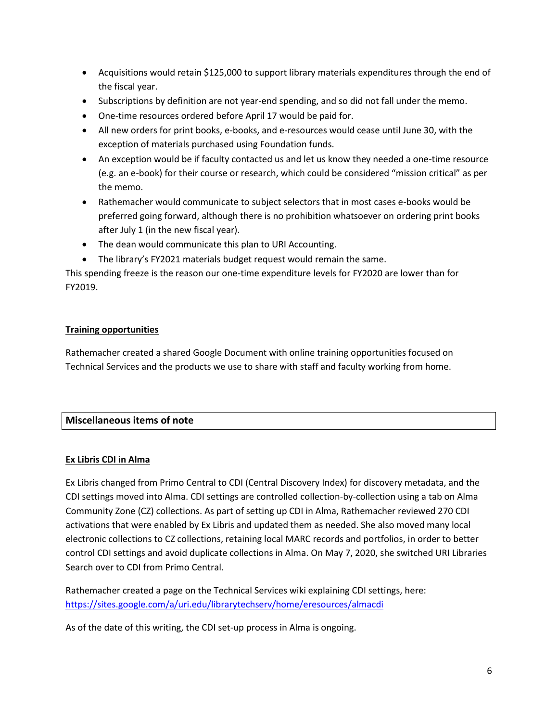- Acquisitions would retain \$125,000 to support library materials expenditures through the end of the fiscal year.
- Subscriptions by definition are not year-end spending, and so did not fall under the memo.
- One-time resources ordered before April 17 would be paid for.
- All new orders for print books, e-books, and e-resources would cease until June 30, with the exception of materials purchased using Foundation funds.
- An exception would be if faculty contacted us and let us know they needed a one-time resource (e.g. an e-book) for their course or research, which could be considered "mission critical" as per the memo.
- Rathemacher would communicate to subject selectors that in most cases e-books would be preferred going forward, although there is no prohibition whatsoever on ordering print books after July 1 (in the new fiscal year).
- The dean would communicate this plan to URI Accounting.
- The library's FY2021 materials budget request would remain the same.

This spending freeze is the reason our one-time expenditure levels for FY2020 are lower than for FY2019.

## **Training opportunities**

Rathemacher created a shared Google Document with online training opportunities focused on Technical Services and the products we use to share with staff and faculty working from home.

# **Miscellaneous items of note**

## **Ex Libris CDI in Alma**

Ex Libris changed from Primo Central to CDI (Central Discovery Index) for discovery metadata, and the CDI settings moved into Alma. CDI settings are controlled collection-by-collection using a tab on Alma Community Zone (CZ) collections. As part of setting up CDI in Alma, Rathemacher reviewed 270 CDI activations that were enabled by Ex Libris and updated them as needed. She also moved many local electronic collections to CZ collections, retaining local MARC records and portfolios, in order to better control CDI settings and avoid duplicate collections in Alma. On May 7, 2020, she switched URI Libraries Search over to CDI from Primo Central.

Rathemacher created a page on the Technical Services wiki explaining CDI settings, here: <https://sites.google.com/a/uri.edu/librarytechserv/home/eresources/almacdi>

As of the date of this writing, the CDI set-up process in Alma is ongoing.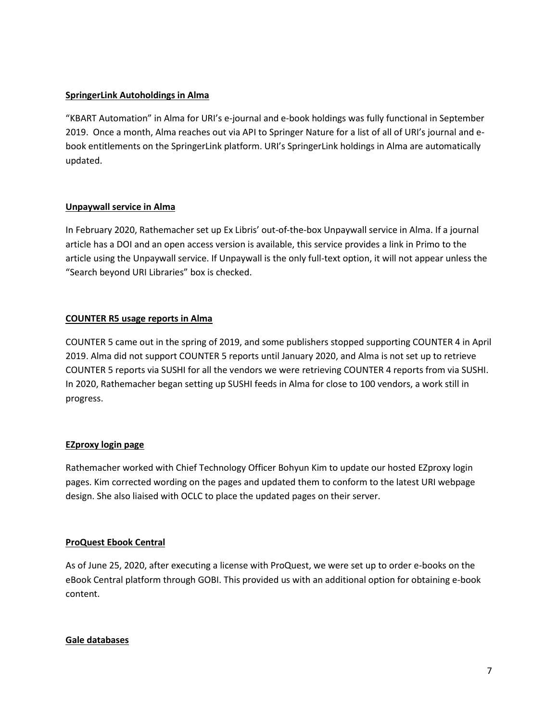## **SpringerLink Autoholdings in Alma**

"KBART Automation" in Alma for URI's e-journal and e-book holdings was fully functional in September 2019. Once a month, Alma reaches out via API to Springer Nature for a list of all of URI's journal and ebook entitlements on the SpringerLink platform. URI's SpringerLink holdings in Alma are automatically updated.

## **Unpaywall service in Alma**

In February 2020, Rathemacher set up Ex Libris' out-of-the-box Unpaywall service in Alma. If a journal article has a DOI and an open access version is available, this service provides a link in Primo to the article using the Unpaywall service. If Unpaywall is the only full-text option, it will not appear unless the "Search beyond URI Libraries" box is checked.

## **COUNTER R5 usage reports in Alma**

COUNTER 5 came out in the spring of 2019, and some publishers stopped supporting COUNTER 4 in April 2019. Alma did not support COUNTER 5 reports until January 2020, and Alma is not set up to retrieve COUNTER 5 reports via SUSHI for all the vendors we were retrieving COUNTER 4 reports from via SUSHI. In 2020, Rathemacher began setting up SUSHI feeds in Alma for close to 100 vendors, a work still in progress.

## **EZproxy login page**

Rathemacher worked with Chief Technology Officer Bohyun Kim to update our hosted EZproxy login pages. Kim corrected wording on the pages and updated them to conform to the latest URI webpage design. She also liaised with OCLC to place the updated pages on their server.

## **ProQuest Ebook Central**

As of June 25, 2020, after executing a license with ProQuest, we were set up to order e-books on the eBook Central platform through GOBI. This provided us with an additional option for obtaining e-book content.

## **Gale databases**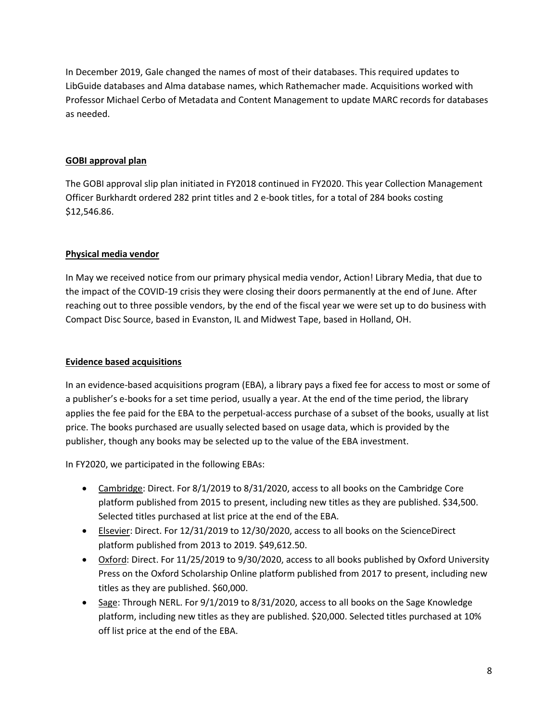In December 2019, Gale changed the names of most of their databases. This required updates to LibGuide databases and Alma database names, which Rathemacher made. Acquisitions worked with Professor Michael Cerbo of Metadata and Content Management to update MARC records for databases as needed.

## **GOBI approval plan**

The GOBI approval slip plan initiated in FY2018 continued in FY2020. This year Collection Management Officer Burkhardt ordered 282 print titles and 2 e-book titles, for a total of 284 books costing \$12,546.86.

## **Physical media vendor**

In May we received notice from our primary physical media vendor, Action! Library Media, that due to the impact of the COVID-19 crisis they were closing their doors permanently at the end of June. After reaching out to three possible vendors, by the end of the fiscal year we were set up to do business with Compact Disc Source, based in Evanston, IL and Midwest Tape, based in Holland, OH.

## **Evidence based acquisitions**

In an evidence-based acquisitions program (EBA), a library pays a fixed fee for access to most or some of a publisher's e-books for a set time period, usually a year. At the end of the time period, the library applies the fee paid for the EBA to the perpetual-access purchase of a subset of the books, usually at list price. The books purchased are usually selected based on usage data, which is provided by the publisher, though any books may be selected up to the value of the EBA investment.

In FY2020, we participated in the following EBAs:

- Cambridge: Direct. For 8/1/2019 to 8/31/2020, access to all books on the Cambridge Core platform published from 2015 to present, including new titles as they are published. \$34,500. Selected titles purchased at list price at the end of the EBA.
- Elsevier: Direct. For 12/31/2019 to 12/30/2020, access to all books on the ScienceDirect platform published from 2013 to 2019. \$49,612.50.
- Oxford: Direct. For 11/25/2019 to 9/30/2020, access to all books published by Oxford University Press on the Oxford Scholarship Online platform published from 2017 to present, including new titles as they are published. \$60,000.
- Sage: Through NERL. For 9/1/2019 to 8/31/2020, access to all books on the Sage Knowledge platform, including new titles as they are published. \$20,000. Selected titles purchased at 10% off list price at the end of the EBA.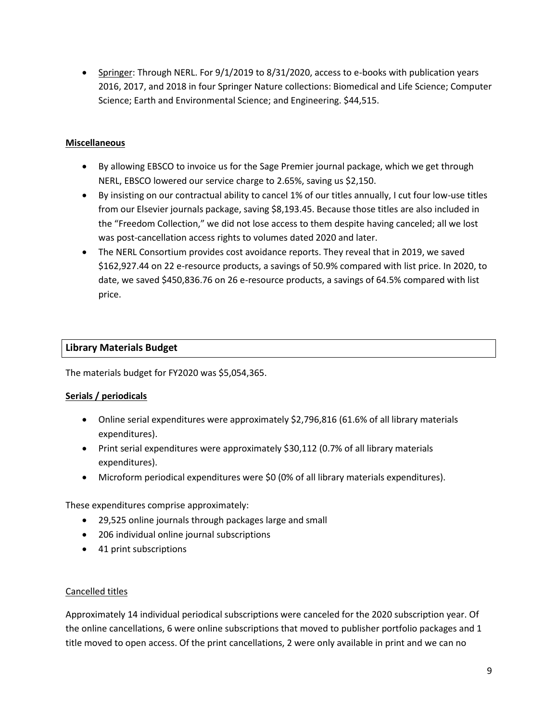• Springer: Through NERL. For 9/1/2019 to 8/31/2020, access to e-books with publication years 2016, 2017, and 2018 in four Springer Nature collections: Biomedical and Life Science; Computer Science; Earth and Environmental Science; and Engineering. \$44,515.

## **Miscellaneous**

- By allowing EBSCO to invoice us for the Sage Premier journal package, which we get through NERL, EBSCO lowered our service charge to 2.65%, saving us \$2,150.
- By insisting on our contractual ability to cancel 1% of our titles annually, I cut four low-use titles from our Elsevier journals package, saving \$8,193.45. Because those titles are also included in the "Freedom Collection," we did not lose access to them despite having canceled; all we lost was post-cancellation access rights to volumes dated 2020 and later.
- The NERL Consortium provides cost avoidance reports. They reveal that in 2019, we saved \$162,927.44 on 22 e-resource products, a savings of 50.9% compared with list price. In 2020, to date, we saved \$450,836.76 on 26 e-resource products, a savings of 64.5% compared with list price.

## **Library Materials Budget**

The materials budget for FY2020 was \$5,054,365.

## **Serials / periodicals**

- Online serial expenditures were approximately \$2,796,816 (61.6% of all library materials expenditures).
- Print serial expenditures were approximately \$30,112 (0.7% of all library materials expenditures).
- Microform periodical expenditures were \$0 (0% of all library materials expenditures).

These expenditures comprise approximately:

- 29,525 online journals through packages large and small
- 206 individual online journal subscriptions
- 41 print subscriptions

## Cancelled titles

Approximately 14 individual periodical subscriptions were canceled for the 2020 subscription year. Of the online cancellations, 6 were online subscriptions that moved to publisher portfolio packages and 1 title moved to open access. Of the print cancellations, 2 were only available in print and we can no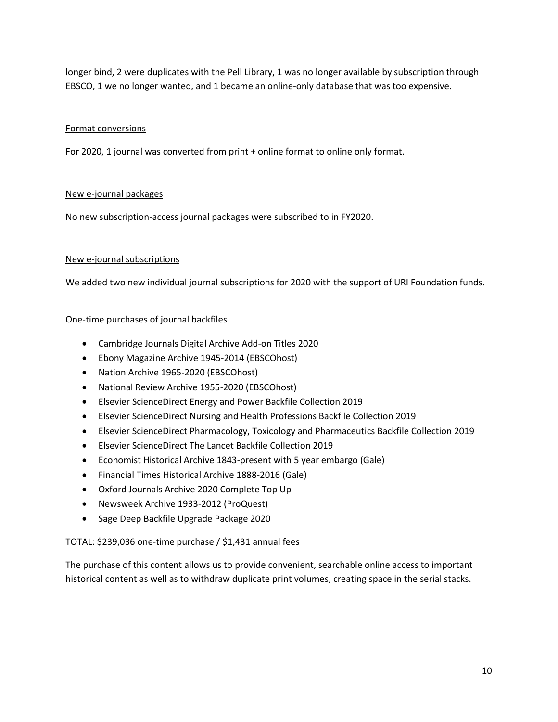longer bind, 2 were duplicates with the Pell Library, 1 was no longer available by subscription through EBSCO, 1 we no longer wanted, and 1 became an online-only database that was too expensive.

## Format conversions

For 2020, 1 journal was converted from print + online format to online only format.

## New e-journal packages

No new subscription-access journal packages were subscribed to in FY2020.

#### New e-journal subscriptions

We added two new individual journal subscriptions for 2020 with the support of URI Foundation funds.

#### One-time purchases of journal backfiles

- Cambridge Journals Digital Archive Add-on Titles 2020
- Ebony Magazine Archive 1945-2014 (EBSCOhost)
- Nation Archive 1965-2020 (EBSCOhost)
- National Review Archive 1955-2020 (EBSCOhost)
- Elsevier ScienceDirect Energy and Power Backfile Collection 2019
- Elsevier ScienceDirect Nursing and Health Professions Backfile Collection 2019
- Elsevier ScienceDirect Pharmacology, Toxicology and Pharmaceutics Backfile Collection 2019
- Elsevier ScienceDirect The Lancet Backfile Collection 2019
- Economist Historical Archive 1843-present with 5 year embargo (Gale)
- Financial Times Historical Archive 1888-2016 (Gale)
- Oxford Journals Archive 2020 Complete Top Up
- Newsweek Archive 1933-2012 (ProQuest)
- Sage Deep Backfile Upgrade Package 2020

## TOTAL: \$239,036 one-time purchase / \$1,431 annual fees

The purchase of this content allows us to provide convenient, searchable online access to important historical content as well as to withdraw duplicate print volumes, creating space in the serial stacks.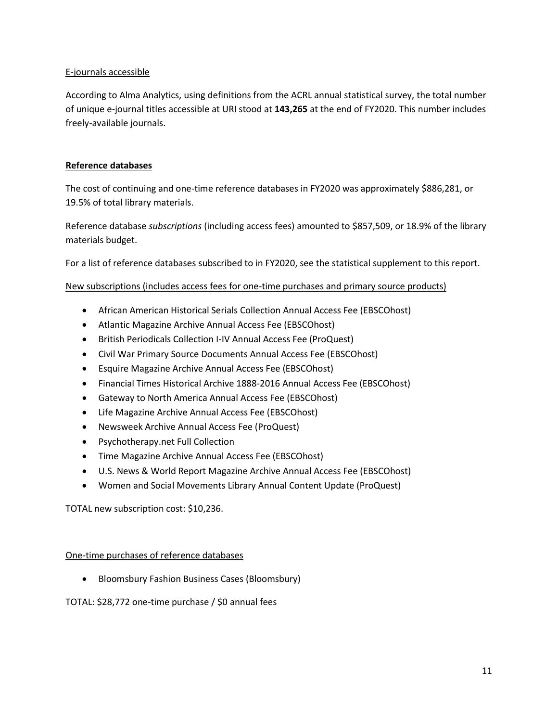## E-journals accessible

According to Alma Analytics, using definitions from the ACRL annual statistical survey, the total number of unique e-journal titles accessible at URI stood at **143,265** at the end of FY2020. This number includes freely-available journals.

## **Reference databases**

The cost of continuing and one-time reference databases in FY2020 was approximately \$886,281, or 19.5% of total library materials.

Reference database *subscriptions* (including access fees) amounted to \$857,509, or 18.9% of the library materials budget.

For a list of reference databases subscribed to in FY2020, see the statistical supplement to this report.

## New subscriptions (includes access fees for one-time purchases and primary source products)

- African American Historical Serials Collection Annual Access Fee (EBSCOhost)
- Atlantic Magazine Archive Annual Access Fee (EBSCOhost)
- British Periodicals Collection I-IV Annual Access Fee (ProQuest)
- Civil War Primary Source Documents Annual Access Fee (EBSCOhost)
- Esquire Magazine Archive Annual Access Fee (EBSCOhost)
- Financial Times Historical Archive 1888-2016 Annual Access Fee (EBSCOhost)
- Gateway to North America Annual Access Fee (EBSCOhost)
- Life Magazine Archive Annual Access Fee (EBSCOhost)
- Newsweek Archive Annual Access Fee (ProQuest)
- Psychotherapy.net Full Collection
- Time Magazine Archive Annual Access Fee (EBSCOhost)
- U.S. News & World Report Magazine Archive Annual Access Fee (EBSCOhost)
- Women and Social Movements Library Annual Content Update (ProQuest)

TOTAL new subscription cost: \$10,236.

## One-time purchases of reference databases

• Bloomsbury Fashion Business Cases (Bloomsbury)

## TOTAL: \$28,772 one-time purchase / \$0 annual fees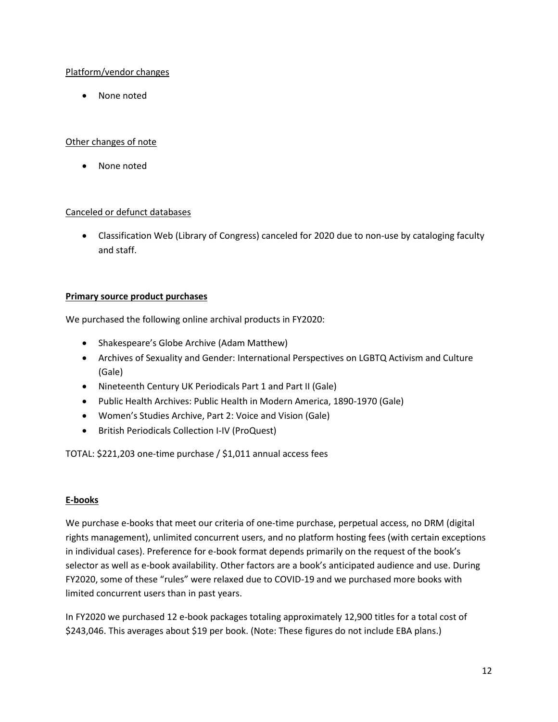## Platform/vendor changes

• None noted

## Other changes of note

None noted

## Canceled or defunct databases

• Classification Web (Library of Congress) canceled for 2020 due to non-use by cataloging faculty and staff.

## **Primary source product purchases**

We purchased the following online archival products in FY2020:

- Shakespeare's Globe Archive (Adam Matthew)
- Archives of Sexuality and Gender: International Perspectives on LGBTQ Activism and Culture (Gale)
- Nineteenth Century UK Periodicals Part 1 and Part II (Gale)
- Public Health Archives: Public Health in Modern America, 1890-1970 (Gale)
- Women's Studies Archive, Part 2: Voice and Vision (Gale)
- British Periodicals Collection I-IV (ProQuest)

TOTAL: \$221,203 one-time purchase / \$1,011 annual access fees

## **E-books**

We purchase e-books that meet our criteria of one-time purchase, perpetual access, no DRM (digital rights management), unlimited concurrent users, and no platform hosting fees (with certain exceptions in individual cases). Preference for e-book format depends primarily on the request of the book's selector as well as e-book availability. Other factors are a book's anticipated audience and use. During FY2020, some of these "rules" were relaxed due to COVID-19 and we purchased more books with limited concurrent users than in past years.

In FY2020 we purchased 12 e-book packages totaling approximately 12,900 titles for a total cost of \$243,046. This averages about \$19 per book. (Note: These figures do not include EBA plans.)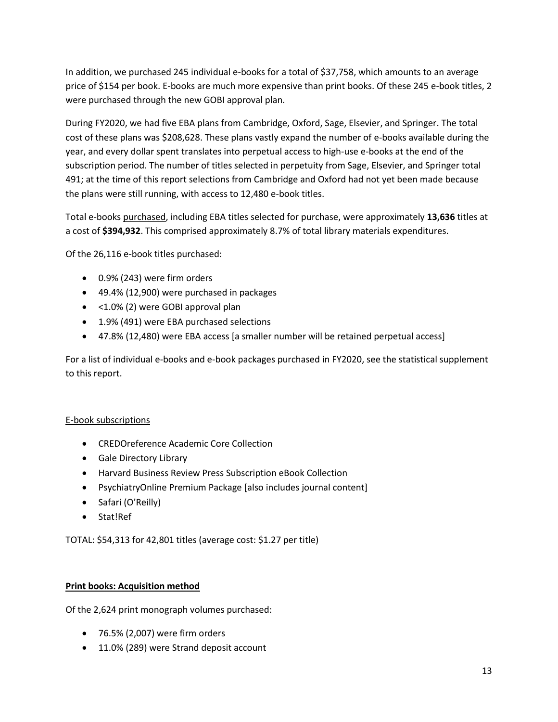In addition, we purchased 245 individual e-books for a total of \$37,758, which amounts to an average price of \$154 per book. E-books are much more expensive than print books. Of these 245 e-book titles, 2 were purchased through the new GOBI approval plan.

During FY2020, we had five EBA plans from Cambridge, Oxford, Sage, Elsevier, and Springer. The total cost of these plans was \$208,628. These plans vastly expand the number of e-books available during the year, and every dollar spent translates into perpetual access to high-use e-books at the end of the subscription period. The number of titles selected in perpetuity from Sage, Elsevier, and Springer total 491; at the time of this report selections from Cambridge and Oxford had not yet been made because the plans were still running, with access to 12,480 e-book titles.

Total e-books purchased, including EBA titles selected for purchase, were approximately **13,636** titles at a cost of **\$394,932**. This comprised approximately 8.7% of total library materials expenditures.

Of the 26,116 e-book titles purchased:

- 0.9% (243) were firm orders
- 49.4% (12,900) were purchased in packages
- < 1.0% (2) were GOBI approval plan
- 1.9% (491) were EBA purchased selections
- 47.8% (12,480) were EBA access [a smaller number will be retained perpetual access]

For a list of individual e-books and e-book packages purchased in FY2020, see the statistical supplement to this report.

## E-book subscriptions

- CREDOreference Academic Core Collection
- Gale Directory Library
- Harvard Business Review Press Subscription eBook Collection
- PsychiatryOnline Premium Package [also includes journal content]
- Safari (O'Reilly)
- Stat!Ref

TOTAL: \$54,313 for 42,801 titles (average cost: \$1.27 per title)

## **Print books: Acquisition method**

Of the 2,624 print monograph volumes purchased:

- 76.5% (2,007) were firm orders
- 11.0% (289) were Strand deposit account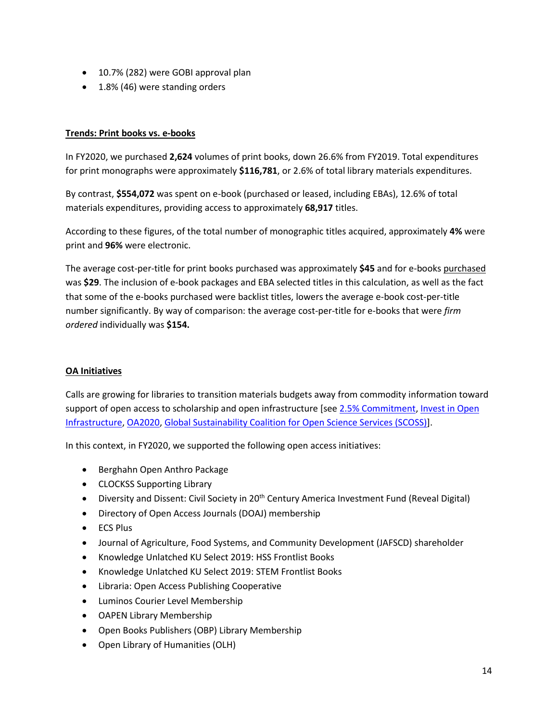- 10.7% (282) were GOBI approval plan
- 1.8% (46) were standing orders

## **Trends: Print books vs. e-books**

In FY2020, we purchased **2,624** volumes of print books, down 26.6% from FY2019. Total expenditures for print monographs were approximately **\$116,781**, or 2.6% of total library materials expenditures.

By contrast, **\$554,072** was spent on e-book (purchased or leased, including EBAs), 12.6% of total materials expenditures, providing access to approximately **68,917** titles.

According to these figures, of the total number of monographic titles acquired, approximately **4%** were print and **96%** were electronic.

The average cost-per-title for print books purchased was approximately **\$45** and for e-books purchased was **\$29**. The inclusion of e-book packages and EBA selected titles in this calculation, as well as the fact that some of the e-books purchased were backlist titles, lowers the average e-book cost-per-title number significantly. By way of comparison: the average cost-per-title for e-books that were *firm ordered* individually was **\$154.**

## **OA Initiatives**

Calls are growing for libraries to transition materials budgets away from commodity information toward support of open access to scholarship and open infrastructure [se[e 2.5% Commitment,](https://intheopen.net/2017/09/join-the-movement-the-2-5-commitment/) [Invest in Open](https://investinopen.org/supporters/)  [Infrastructure,](https://investinopen.org/supporters/) [OA2020,](https://oa2020.us/oa2020-the-eoi/) [Global Sustainability Coalition for Open Science Services \(SCOSS\)\]](http://scoss.org/).

In this context, in FY2020, we supported the following open access initiatives:

- Berghahn Open Anthro Package
- CLOCKSS Supporting Library
- Diversity and Dissent: Civil Society in 20<sup>th</sup> Century America Investment Fund (Reveal Digital)
- Directory of Open Access Journals (DOAJ) membership
- ECS Plus
- Journal of Agriculture, Food Systems, and Community Development (JAFSCD) shareholder
- Knowledge Unlatched KU Select 2019: HSS Frontlist Books
- Knowledge Unlatched KU Select 2019: STEM Frontlist Books
- Libraria: Open Access Publishing Cooperative
- Luminos Courier Level Membership
- OAPEN Library Membership
- Open Books Publishers (OBP) Library Membership
- Open Library of Humanities (OLH)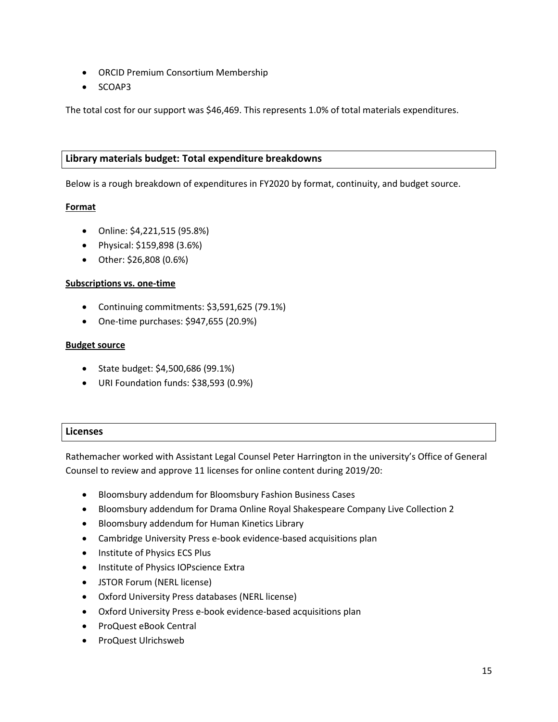- ORCID Premium Consortium Membership
- SCOAP3

The total cost for our support was \$46,469. This represents 1.0% of total materials expenditures.

## **Library materials budget: Total expenditure breakdowns**

Below is a rough breakdown of expenditures in FY2020 by format, continuity, and budget source.

## **Format**

- Online: \$4,221,515 (95.8%)
- Physical: \$159,898 (3.6%)
- Other: \$26,808 (0.6%)

## **Subscriptions vs. one-time**

- Continuing commitments: \$3,591,625 (79.1%)
- One-time purchases: \$947,655 (20.9%)

#### **Budget source**

- State budget: \$4,500,686 (99.1%)
- URI Foundation funds: \$38,593 (0.9%)

## **Licenses**

Rathemacher worked with Assistant Legal Counsel Peter Harrington in the university's Office of General Counsel to review and approve 11 licenses for online content during 2019/20:

- Bloomsbury addendum for Bloomsbury Fashion Business Cases
- Bloomsbury addendum for Drama Online Royal Shakespeare Company Live Collection 2
- Bloomsbury addendum for Human Kinetics Library
- Cambridge University Press e-book evidence-based acquisitions plan
- Institute of Physics ECS Plus
- Institute of Physics IOPscience Extra
- JSTOR Forum (NERL license)
- Oxford University Press databases (NERL license)
- Oxford University Press e-book evidence-based acquisitions plan
- ProQuest eBook Central
- ProQuest Ulrichsweb